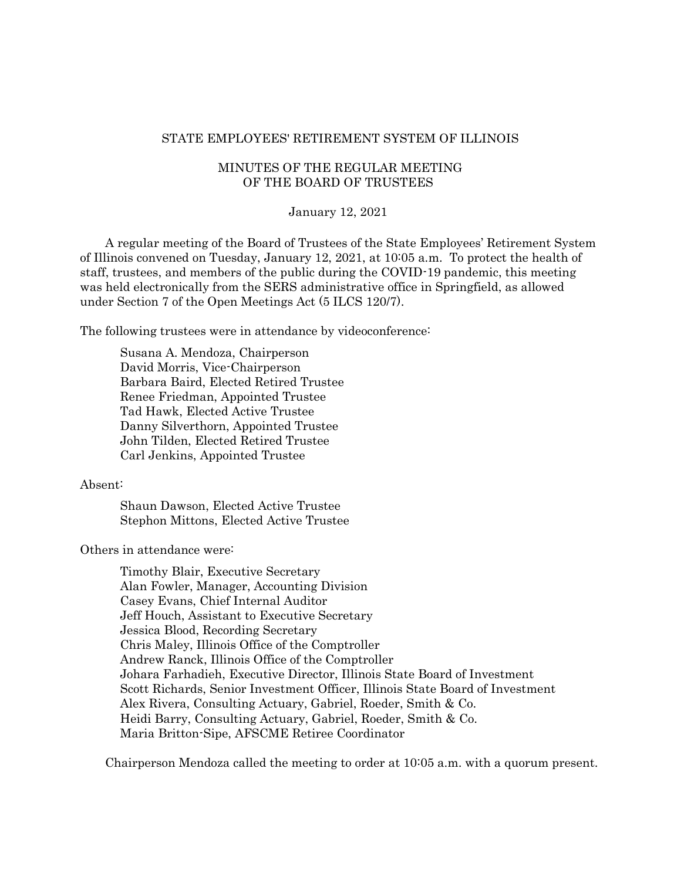#### STATE EMPLOYEES' RETIREMENT SYSTEM OF ILLINOIS

# MINUTES OF THE REGULAR MEETING OF THE BOARD OF TRUSTEES

#### January 12, 2021

A regular meeting of the Board of Trustees of the State Employees' Retirement System of Illinois convened on Tuesday, January 12, 2021, at 10:05 a.m. To protect the health of staff, trustees, and members of the public during the COVID-19 pandemic, this meeting was held electronically from the SERS administrative office in Springfield, as allowed under Section 7 of the Open Meetings Act (5 ILCS 120/7).

The following trustees were in attendance by videoconference:

Susana A. Mendoza, Chairperson David Morris, Vice-Chairperson Barbara Baird, Elected Retired Trustee Renee Friedman, Appointed Trustee Tad Hawk, Elected Active Trustee Danny Silverthorn, Appointed Trustee John Tilden, Elected Retired Trustee Carl Jenkins, Appointed Trustee

#### Absent:

Shaun Dawson, Elected Active Trustee Stephon Mittons, Elected Active Trustee

Others in attendance were:

Timothy Blair, Executive Secretary Alan Fowler, Manager, Accounting Division Casey Evans, Chief Internal Auditor Jeff Houch, Assistant to Executive Secretary Jessica Blood, Recording Secretary Chris Maley, Illinois Office of the Comptroller Andrew Ranck, Illinois Office of the Comptroller Johara Farhadieh, Executive Director, Illinois State Board of Investment Scott Richards, Senior Investment Officer, Illinois State Board of Investment Alex Rivera, Consulting Actuary, Gabriel, Roeder, Smith & Co. Heidi Barry, Consulting Actuary, Gabriel, Roeder, Smith & Co. Maria Britton-Sipe, AFSCME Retiree Coordinator

Chairperson Mendoza called the meeting to order at 10:05 a.m. with a quorum present.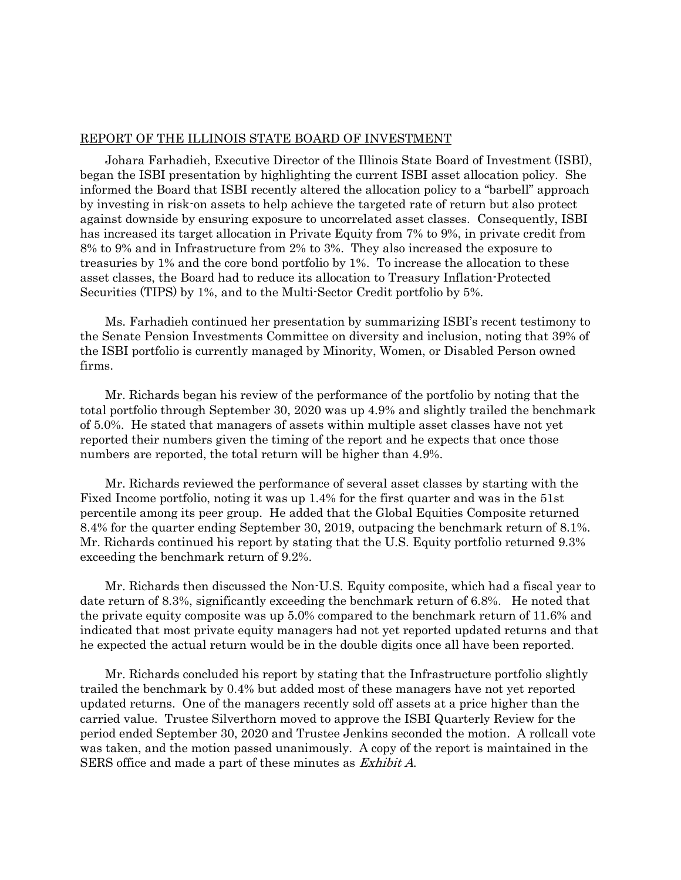## REPORT OF THE ILLINOIS STATE BOARD OF INVESTMENT

Johara Farhadieh, Executive Director of the Illinois State Board of Investment (ISBI), began the ISBI presentation by highlighting the current ISBI asset allocation policy. She informed the Board that ISBI recently altered the allocation policy to a "barbell" approach by investing in risk-on assets to help achieve the targeted rate of return but also protect against downside by ensuring exposure to uncorrelated asset classes. Consequently, ISBI has increased its target allocation in Private Equity from 7% to 9%, in private credit from 8% to 9% and in Infrastructure from 2% to 3%. They also increased the exposure to treasuries by 1% and the core bond portfolio by 1%. To increase the allocation to these asset classes, the Board had to reduce its allocation to Treasury Inflation-Protected Securities (TIPS) by 1%, and to the Multi-Sector Credit portfolio by 5%.

Ms. Farhadieh continued her presentation by summarizing ISBI's recent testimony to the Senate Pension Investments Committee on diversity and inclusion, noting that 39% of the ISBI portfolio is currently managed by Minority, Women, or Disabled Person owned firms.

Mr. Richards began his review of the performance of the portfolio by noting that the total portfolio through September 30, 2020 was up 4.9% and slightly trailed the benchmark of 5.0%. He stated that managers of assets within multiple asset classes have not yet reported their numbers given the timing of the report and he expects that once those numbers are reported, the total return will be higher than 4.9%.

Mr. Richards reviewed the performance of several asset classes by starting with the Fixed Income portfolio, noting it was up 1.4% for the first quarter and was in the 51st percentile among its peer group. He added that the Global Equities Composite returned 8.4% for the quarter ending September 30, 2019, outpacing the benchmark return of 8.1%. Mr. Richards continued his report by stating that the U.S. Equity portfolio returned 9.3% exceeding the benchmark return of 9.2%.

Mr. Richards then discussed the Non-U.S. Equity composite, which had a fiscal year to date return of 8.3%, significantly exceeding the benchmark return of 6.8%. He noted that the private equity composite was up 5.0% compared to the benchmark return of 11.6% and indicated that most private equity managers had not yet reported updated returns and that he expected the actual return would be in the double digits once all have been reported.

Mr. Richards concluded his report by stating that the Infrastructure portfolio slightly trailed the benchmark by 0.4% but added most of these managers have not yet reported updated returns. One of the managers recently sold off assets at a price higher than the carried value. Trustee Silverthorn moved to approve the ISBI Quarterly Review for the period ended September 30, 2020 and Trustee Jenkins seconded the motion. A rollcall vote was taken, and the motion passed unanimously. A copy of the report is maintained in the SERS office and made a part of these minutes as Exhibit A.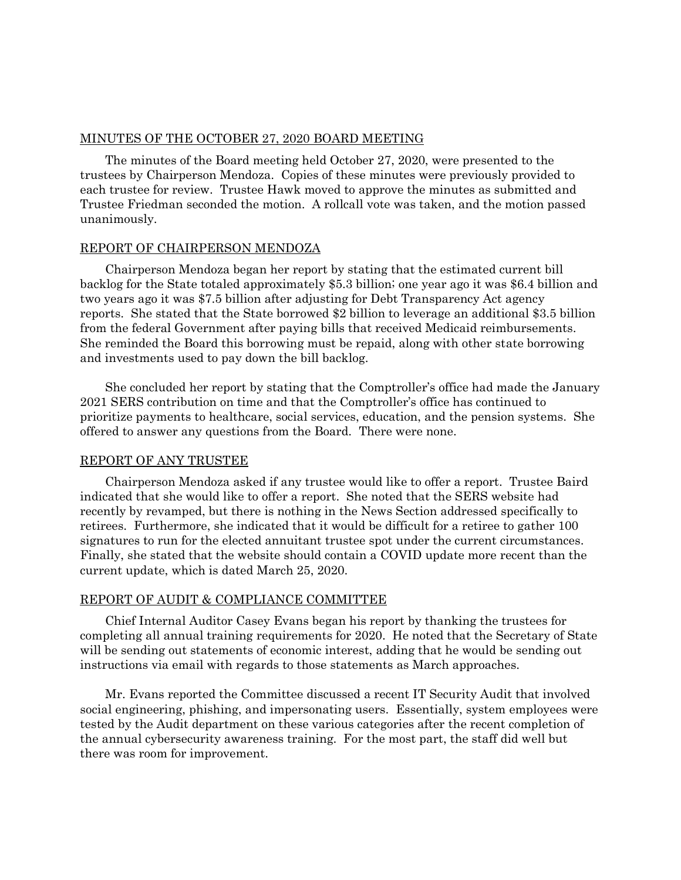# MINUTES OF THE OCTOBER 27, 2020 BOARD MEETING

The minutes of the Board meeting held October 27, 2020, were presented to the trustees by Chairperson Mendoza. Copies of these minutes were previously provided to each trustee for review. Trustee Hawk moved to approve the minutes as submitted and Trustee Friedman seconded the motion. A rollcall vote was taken, and the motion passed unanimously.

# REPORT OF CHAIRPERSON MENDOZA

Chairperson Mendoza began her report by stating that the estimated current bill backlog for the State totaled approximately \$5.3 billion; one year ago it was \$6.4 billion and two years ago it was \$7.5 billion after adjusting for Debt Transparency Act agency reports. She stated that the State borrowed \$2 billion to leverage an additional \$3.5 billion from the federal Government after paying bills that received Medicaid reimbursements. She reminded the Board this borrowing must be repaid, along with other state borrowing and investments used to pay down the bill backlog.

She concluded her report by stating that the Comptroller's office had made the January 2021 SERS contribution on time and that the Comptroller's office has continued to prioritize payments to healthcare, social services, education, and the pension systems. She offered to answer any questions from the Board. There were none.

## REPORT OF ANY TRUSTEE

Chairperson Mendoza asked if any trustee would like to offer a report. Trustee Baird indicated that she would like to offer a report. She noted that the SERS website had recently by revamped, but there is nothing in the News Section addressed specifically to retirees. Furthermore, she indicated that it would be difficult for a retiree to gather 100 signatures to run for the elected annuitant trustee spot under the current circumstances. Finally, she stated that the website should contain a COVID update more recent than the current update, which is dated March 25, 2020.

## REPORT OF AUDIT & COMPLIANCE COMMITTEE

Chief Internal Auditor Casey Evans began his report by thanking the trustees for completing all annual training requirements for 2020. He noted that the Secretary of State will be sending out statements of economic interest, adding that he would be sending out instructions via email with regards to those statements as March approaches.

Mr. Evans reported the Committee discussed a recent IT Security Audit that involved social engineering, phishing, and impersonating users. Essentially, system employees were tested by the Audit department on these various categories after the recent completion of the annual cybersecurity awareness training. For the most part, the staff did well but there was room for improvement.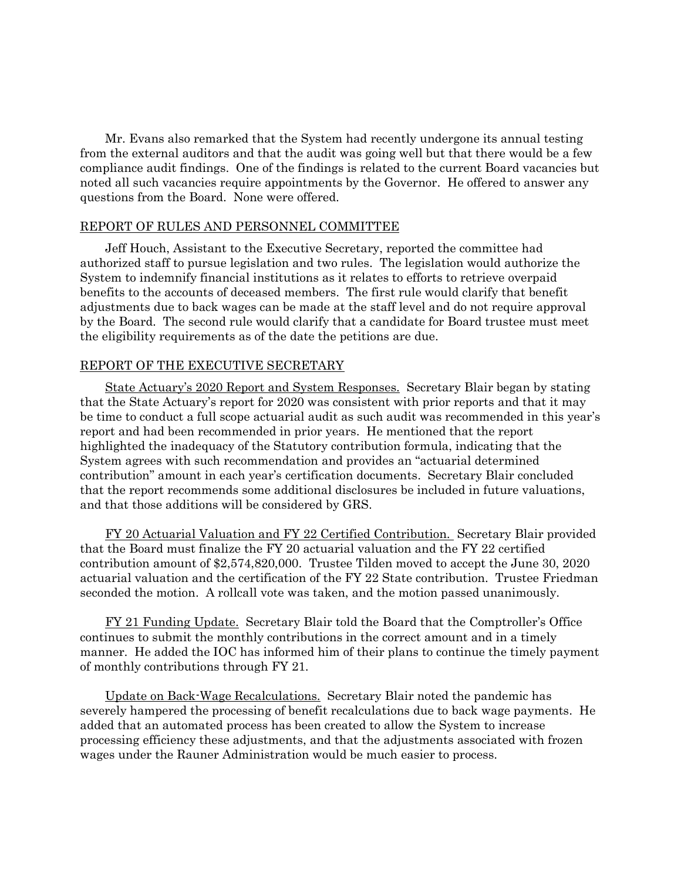Mr. Evans also remarked that the System had recently undergone its annual testing from the external auditors and that the audit was going well but that there would be a few compliance audit findings. One of the findings is related to the current Board vacancies but noted all such vacancies require appointments by the Governor. He offered to answer any questions from the Board. None were offered.

## REPORT OF RULES AND PERSONNEL COMMITTEE

Jeff Houch, Assistant to the Executive Secretary, reported the committee had authorized staff to pursue legislation and two rules. The legislation would authorize the System to indemnify financial institutions as it relates to efforts to retrieve overpaid benefits to the accounts of deceased members. The first rule would clarify that benefit adjustments due to back wages can be made at the staff level and do not require approval by the Board. The second rule would clarify that a candidate for Board trustee must meet the eligibility requirements as of the date the petitions are due.

# REPORT OF THE EXECUTIVE SECRETARY

State Actuary's 2020 Report and System Responses. Secretary Blair began by stating that the State Actuary's report for 2020 was consistent with prior reports and that it may be time to conduct a full scope actuarial audit as such audit was recommended in this year's report and had been recommended in prior years. He mentioned that the report highlighted the inadequacy of the Statutory contribution formula, indicating that the System agrees with such recommendation and provides an "actuarial determined contribution" amount in each year's certification documents. Secretary Blair concluded that the report recommends some additional disclosures be included in future valuations, and that those additions will be considered by GRS.

FY 20 Actuarial Valuation and FY 22 Certified Contribution. Secretary Blair provided that the Board must finalize the FY 20 actuarial valuation and the FY 22 certified contribution amount of \$2,574,820,000. Trustee Tilden moved to accept the June 30, 2020 actuarial valuation and the certification of the FY 22 State contribution. Trustee Friedman seconded the motion. A rollcall vote was taken, and the motion passed unanimously.

FY 21 Funding Update. Secretary Blair told the Board that the Comptroller's Office continues to submit the monthly contributions in the correct amount and in a timely manner. He added the IOC has informed him of their plans to continue the timely payment of monthly contributions through FY 21.

Update on Back-Wage Recalculations. Secretary Blair noted the pandemic has severely hampered the processing of benefit recalculations due to back wage payments. He added that an automated process has been created to allow the System to increase processing efficiency these adjustments, and that the adjustments associated with frozen wages under the Rauner Administration would be much easier to process.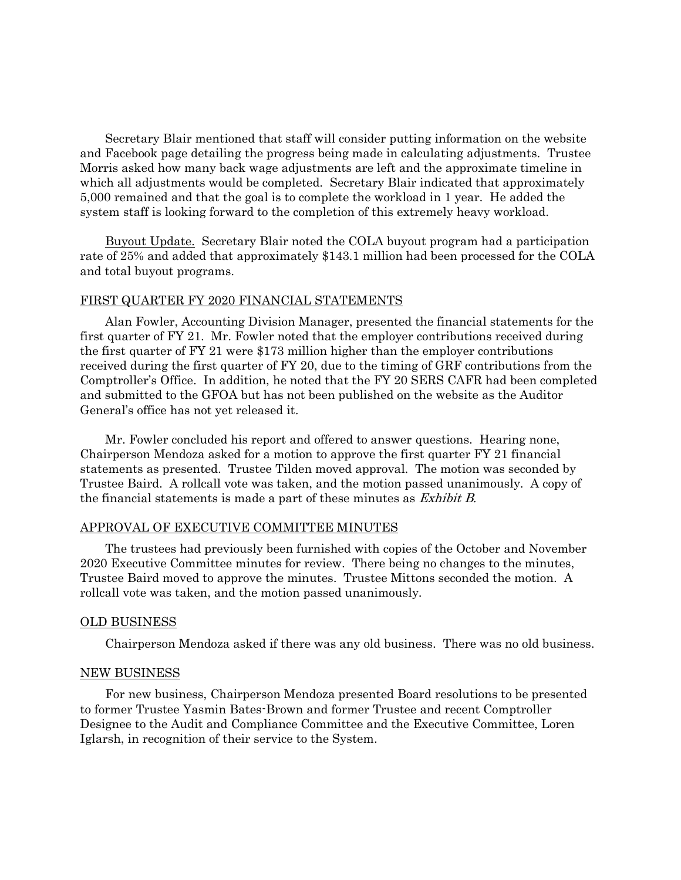Secretary Blair mentioned that staff will consider putting information on the website and Facebook page detailing the progress being made in calculating adjustments. Trustee Morris asked how many back wage adjustments are left and the approximate timeline in which all adjustments would be completed. Secretary Blair indicated that approximately 5,000 remained and that the goal is to complete the workload in 1 year. He added the system staff is looking forward to the completion of this extremely heavy workload.

Buyout Update. Secretary Blair noted the COLA buyout program had a participation rate of 25% and added that approximately \$143.1 million had been processed for the COLA and total buyout programs.

## FIRST QUARTER FY 2020 FINANCIAL STATEMENTS

Alan Fowler, Accounting Division Manager, presented the financial statements for the first quarter of FY 21. Mr. Fowler noted that the employer contributions received during the first quarter of FY 21 were \$173 million higher than the employer contributions received during the first quarter of FY 20, due to the timing of GRF contributions from the Comptroller's Office. In addition, he noted that the FY 20 SERS CAFR had been completed and submitted to the GFOA but has not been published on the website as the Auditor General's office has not yet released it.

Mr. Fowler concluded his report and offered to answer questions. Hearing none, Chairperson Mendoza asked for a motion to approve the first quarter FY 21 financial statements as presented. Trustee Tilden moved approval. The motion was seconded by Trustee Baird. A rollcall vote was taken, and the motion passed unanimously. A copy of the financial statements is made a part of these minutes as Exhibit B.

#### APPROVAL OF EXECUTIVE COMMITTEE MINUTES

The trustees had previously been furnished with copies of the October and November 2020 Executive Committee minutes for review. There being no changes to the minutes, Trustee Baird moved to approve the minutes. Trustee Mittons seconded the motion. A rollcall vote was taken, and the motion passed unanimously.

## OLD BUSINESS

Chairperson Mendoza asked if there was any old business. There was no old business.

#### NEW BUSINESS

For new business, Chairperson Mendoza presented Board resolutions to be presented to former Trustee Yasmin Bates-Brown and former Trustee and recent Comptroller Designee to the Audit and Compliance Committee and the Executive Committee, Loren Iglarsh, in recognition of their service to the System.